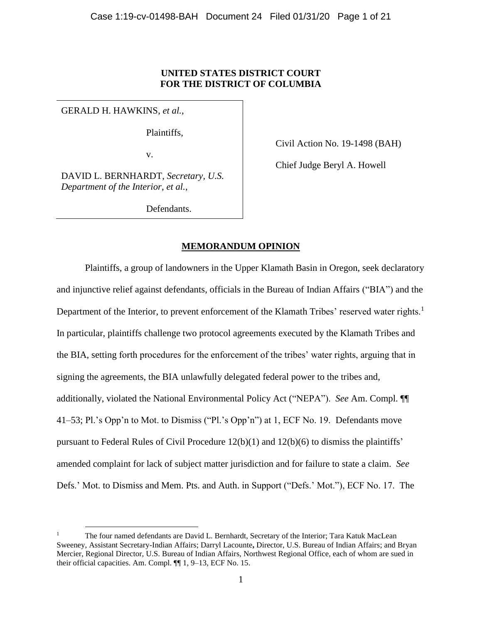# **UNITED STATES DISTRICT COURT FOR THE DISTRICT OF COLUMBIA**

GERALD H. HAWKINS, *et al.*,

 $\overline{a}$ 

Plaintiffs,

v.

Civil Action No. 19-1498 (BAH)

Chief Judge Beryl A. Howell

DAVID L. BERNHARDT, *Secretary, U.S. Department of the Interior*, *et al.*,

Defendants.

# **MEMORANDUM OPINION**

Plaintiffs, a group of landowners in the Upper Klamath Basin in Oregon, seek declaratory and injunctive relief against defendants, officials in the Bureau of Indian Affairs ("BIA") and the Department of the Interior, to prevent enforcement of the Klamath Tribes' reserved water rights.<sup>1</sup> In particular, plaintiffs challenge two protocol agreements executed by the Klamath Tribes and the BIA, setting forth procedures for the enforcement of the tribes' water rights, arguing that in signing the agreements, the BIA unlawfully delegated federal power to the tribes and, additionally, violated the National Environmental Policy Act ("NEPA"). *See* Am. Compl. ¶¶ 41–53; Pl.'s Opp'n to Mot. to Dismiss ("Pl.'s Opp'n") at 1, ECF No. 19. Defendants move pursuant to Federal Rules of Civil Procedure 12(b)(1) and 12(b)(6) to dismiss the plaintiffs' amended complaint for lack of subject matter jurisdiction and for failure to state a claim. *See* Defs.' Mot. to Dismiss and Mem. Pts. and Auth. in Support ("Defs.' Mot."), ECF No. 17. The

<sup>1</sup> The four named defendants are David L. Bernhardt, Secretary of the Interior; Tara Katuk MacLean Sweeney, Assistant Secretary-Indian Affairs; Darryl Lacounte**,** Director, U.S. Bureau of Indian Affairs; and Bryan Mercier, Regional Director, U.S. Bureau of Indian Affairs, Northwest Regional Office, each of whom are sued in their official capacities. Am. Compl. ¶¶ 1, 9–13, ECF No. 15.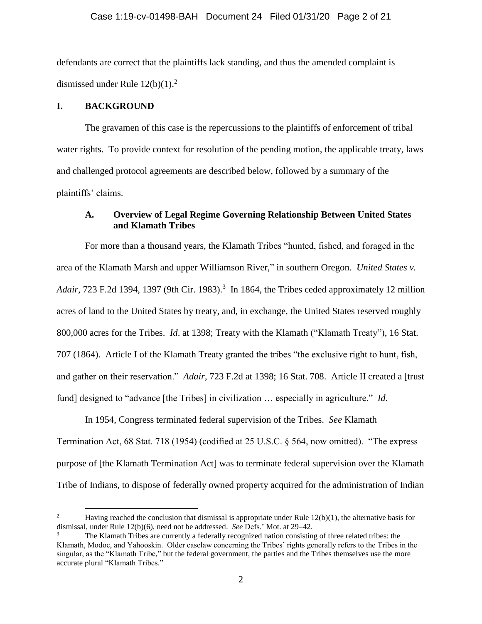defendants are correct that the plaintiffs lack standing, and thus the amended complaint is dismissed under Rule  $12(b)(1)$ .<sup>2</sup>

## **I. BACKGROUND**

 $\overline{a}$ 

The gravamen of this case is the repercussions to the plaintiffs of enforcement of tribal water rights. To provide context for resolution of the pending motion, the applicable treaty, laws and challenged protocol agreements are described below, followed by a summary of the plaintiffs' claims.

# **A. Overview of Legal Regime Governing Relationship Between United States and Klamath Tribes**

For more than a thousand years, the Klamath Tribes "hunted, fished, and foraged in the area of the Klamath Marsh and upper Williamson River," in southern Oregon. *United States v.*  Adair, 723 F.2d 1394, 1397 (9th Cir. 1983).<sup>3</sup> In 1864, the Tribes ceded approximately 12 million acres of land to the United States by treaty, and, in exchange, the United States reserved roughly 800,000 acres for the Tribes. *Id*. at 1398; Treaty with the Klamath ("Klamath Treaty"), 16 Stat. 707 (1864). Article I of the Klamath Treaty granted the tribes "the exclusive right to hunt, fish, and gather on their reservation." *Adair*, 723 F.2d at 1398; 16 Stat. 708. Article II created a [trust fund] designed to "advance [the Tribes] in civilization … especially in agriculture." *Id*.

In 1954, Congress terminated federal supervision of the Tribes. *See* Klamath Termination Act, 68 Stat. 718 (1954) (codified at 25 U.S.C. § 564, now omitted). "The express purpose of [the Klamath Termination Act] was to terminate federal supervision over the Klamath Tribe of Indians, to dispose of federally owned property acquired for the administration of Indian

<sup>&</sup>lt;sup>2</sup> Having reached the conclusion that dismissal is appropriate under Rule  $12(b)(1)$ , the alternative basis for dismissal, under Rule 12(b)(6), need not be addressed. *See* Defs.' Mot. at 29–42.

<sup>3</sup> The Klamath Tribes are currently a federally recognized nation consisting of three related tribes: the Klamath, Modoc, and Yahooskin. Older caselaw concerning the Tribes' rights generally refers to the Tribes in the singular, as the "Klamath Tribe," but the federal government, the parties and the Tribes themselves use the more accurate plural "Klamath Tribes."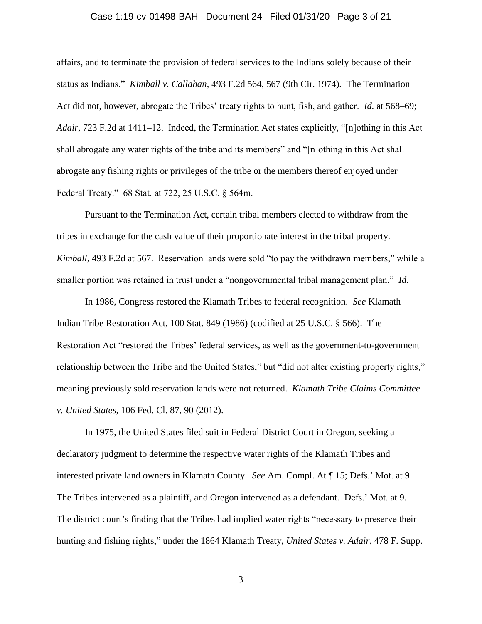# Case 1:19-cv-01498-BAH Document 24 Filed 01/31/20 Page 3 of 21

affairs, and to terminate the provision of federal services to the Indians solely because of their status as Indians." *Kimball v. Callahan*, 493 F.2d 564, 567 (9th Cir. 1974). The Termination Act did not, however, abrogate the Tribes' treaty rights to hunt, fish, and gather. *Id.* at 568–69; *Adair*, 723 F.2d at 1411–12. Indeed, the Termination Act states explicitly, "[n]othing in this Act shall abrogate any water rights of the tribe and its members" and "[n]othing in this Act shall abrogate any fishing rights or privileges of the tribe or the members thereof enjoyed under Federal Treaty." 68 Stat. at 722, 25 U.S.C. § 564m.

Pursuant to the Termination Act, certain tribal members elected to withdraw from the tribes in exchange for the cash value of their proportionate interest in the tribal property. *Kimball*, 493 F.2d at 567. Reservation lands were sold "to pay the withdrawn members," while a smaller portion was retained in trust under a "nongovernmental tribal management plan." *Id*.

In 1986, Congress restored the Klamath Tribes to federal recognition. *See* Klamath Indian Tribe Restoration Act, 100 Stat. 849 (1986) (codified at 25 U.S.C. § 566). The Restoration Act "restored the Tribes' federal services, as well as the government-to-government relationship between the Tribe and the United States," but "did not alter existing property rights," meaning previously sold reservation lands were not returned. *Klamath Tribe Claims Committee v. United States*, 106 Fed. Cl. 87, 90 (2012).

In 1975, the United States filed suit in Federal District Court in Oregon, seeking a declaratory judgment to determine the respective water rights of the Klamath Tribes and interested private land owners in Klamath County. *See* Am. Compl. At ¶ 15; Defs.' Mot. at 9. The Tribes intervened as a plaintiff, and Oregon intervened as a defendant. Defs.' Mot. at 9. The district court's finding that the Tribes had implied water rights "necessary to preserve their hunting and fishing rights," under the 1864 Klamath Treaty, *United States v. Adair*, 478 F. Supp.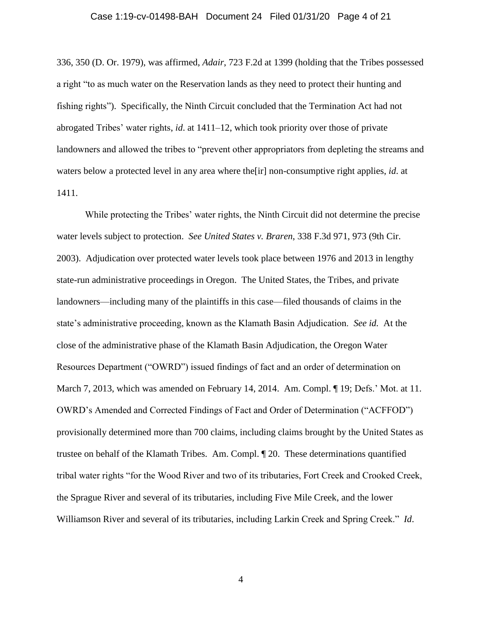#### Case 1:19-cv-01498-BAH Document 24 Filed 01/31/20 Page 4 of 21

336, 350 (D. Or. 1979), was affirmed, *Adair*, 723 F.2d at 1399 (holding that the Tribes possessed a right "to as much water on the Reservation lands as they need to protect their hunting and fishing rights"). Specifically, the Ninth Circuit concluded that the Termination Act had not abrogated Tribes' water rights, *id*. at 1411–12, which took priority over those of private landowners and allowed the tribes to "prevent other appropriators from depleting the streams and waters below a protected level in any area where the[ir] non-consumptive right applies, *id*. at 1411.

While protecting the Tribes' water rights, the Ninth Circuit did not determine the precise water levels subject to protection. *See United States v. Braren*, 338 F.3d 971, 973 (9th Cir. 2003). Adjudication over protected water levels took place between 1976 and 2013 in lengthy state-run administrative proceedings in Oregon. The United States, the Tribes, and private landowners—including many of the plaintiffs in this case—filed thousands of claims in the state's administrative proceeding, known as the Klamath Basin Adjudication. *See id.* At the close of the administrative phase of the Klamath Basin Adjudication, the Oregon Water Resources Department ("OWRD") issued findings of fact and an order of determination on March 7, 2013, which was amended on February 14, 2014. Am. Compl.  $\P$  19; Defs.' Mot. at 11. OWRD's Amended and Corrected Findings of Fact and Order of Determination ("ACFFOD") provisionally determined more than 700 claims, including claims brought by the United States as trustee on behalf of the Klamath Tribes. Am. Compl. ¶ 20. These determinations quantified tribal water rights "for the Wood River and two of its tributaries, Fort Creek and Crooked Creek, the Sprague River and several of its tributaries, including Five Mile Creek, and the lower Williamson River and several of its tributaries, including Larkin Creek and Spring Creek." *Id*.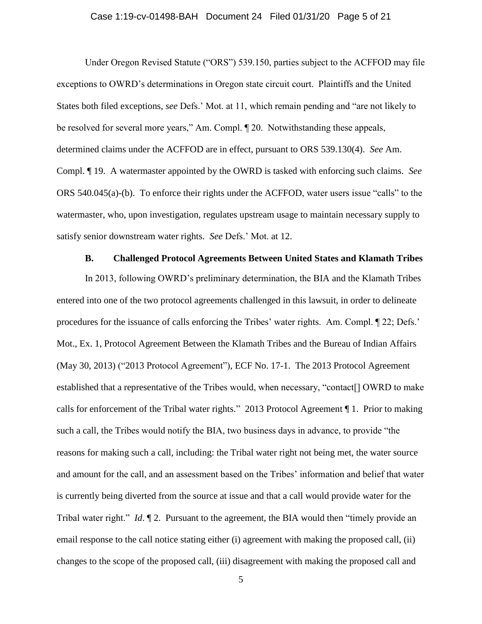## Case 1:19-cv-01498-BAH Document 24 Filed 01/31/20 Page 5 of 21

Under Oregon Revised Statute ("ORS") 539.150, parties subject to the ACFFOD may file exceptions to OWRD's determinations in Oregon state circuit court. Plaintiffs and the United States both filed exceptions, *see* Defs.' Mot. at 11, which remain pending and "are not likely to be resolved for several more years," Am. Compl. ¶ 20. Notwithstanding these appeals, determined claims under the ACFFOD are in effect, pursuant to ORS 539.130(4). *See* Am. Compl. ¶ 19. A watermaster appointed by the OWRD is tasked with enforcing such claims. *See*  ORS 540.045(a)-(b). To enforce their rights under the ACFFOD, water users issue "calls" to the watermaster, who, upon investigation, regulates upstream usage to maintain necessary supply to satisfy senior downstream water rights. *See* Defs.' Mot. at 12.

## **B. Challenged Protocol Agreements Between United States and Klamath Tribes**

In 2013, following OWRD's preliminary determination, the BIA and the Klamath Tribes entered into one of the two protocol agreements challenged in this lawsuit, in order to delineate procedures for the issuance of calls enforcing the Tribes' water rights. Am. Compl. ¶ 22; Defs.' Mot., Ex. 1, Protocol Agreement Between the Klamath Tribes and the Bureau of Indian Affairs (May 30, 2013) ("2013 Protocol Agreement"), ECF No. 17-1. The 2013 Protocol Agreement established that a representative of the Tribes would, when necessary, "contact[] OWRD to make calls for enforcement of the Tribal water rights." 2013 Protocol Agreement ¶ 1. Prior to making such a call, the Tribes would notify the BIA, two business days in advance, to provide "the reasons for making such a call, including: the Tribal water right not being met, the water source and amount for the call, and an assessment based on the Tribes' information and belief that water is currently being diverted from the source at issue and that a call would provide water for the Tribal water right." *Id*. ¶ 2. Pursuant to the agreement, the BIA would then "timely provide an email response to the call notice stating either (i) agreement with making the proposed call, (ii) changes to the scope of the proposed call, (iii) disagreement with making the proposed call and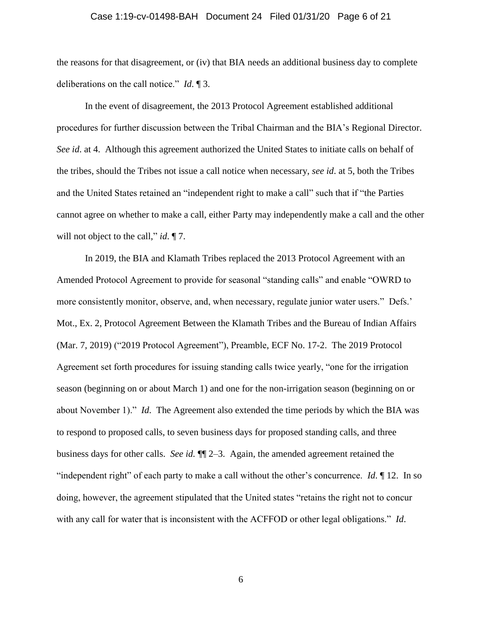# Case 1:19-cv-01498-BAH Document 24 Filed 01/31/20 Page 6 of 21

the reasons for that disagreement, or (iv) that BIA needs an additional business day to complete deliberations on the call notice." *Id*. ¶ 3.

In the event of disagreement, the 2013 Protocol Agreement established additional procedures for further discussion between the Tribal Chairman and the BIA's Regional Director. *See id*. at 4. Although this agreement authorized the United States to initiate calls on behalf of the tribes, should the Tribes not issue a call notice when necessary, *see id*. at 5, both the Tribes and the United States retained an "independent right to make a call" such that if "the Parties cannot agree on whether to make a call, either Party may independently make a call and the other will not object to the call," *id*. ¶ 7.

In 2019, the BIA and Klamath Tribes replaced the 2013 Protocol Agreement with an Amended Protocol Agreement to provide for seasonal "standing calls" and enable "OWRD to more consistently monitor, observe, and, when necessary, regulate junior water users." Defs.' Mot., Ex. 2, Protocol Agreement Between the Klamath Tribes and the Bureau of Indian Affairs (Mar. 7, 2019) ("2019 Protocol Agreement"), Preamble, ECF No. 17-2. The 2019 Protocol Agreement set forth procedures for issuing standing calls twice yearly, "one for the irrigation season (beginning on or about March 1) and one for the non-irrigation season (beginning on or about November 1)." *Id*. The Agreement also extended the time periods by which the BIA was to respond to proposed calls, to seven business days for proposed standing calls, and three business days for other calls. *See id.* ¶¶ 2–3. Again, the amended agreement retained the "independent right" of each party to make a call without the other's concurrence. *Id*. ¶ 12. In so doing, however, the agreement stipulated that the United states "retains the right not to concur with any call for water that is inconsistent with the ACFFOD or other legal obligations." *Id*.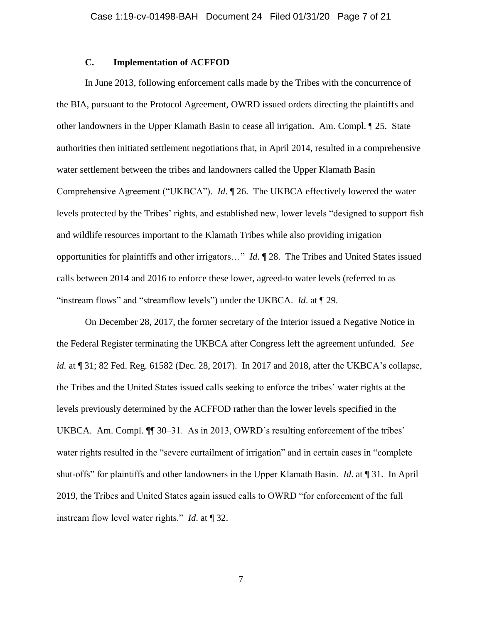# **C. Implementation of ACFFOD**

In June 2013, following enforcement calls made by the Tribes with the concurrence of the BIA, pursuant to the Protocol Agreement, OWRD issued orders directing the plaintiffs and other landowners in the Upper Klamath Basin to cease all irrigation. Am. Compl. ¶ 25. State authorities then initiated settlement negotiations that, in April 2014, resulted in a comprehensive water settlement between the tribes and landowners called the Upper Klamath Basin Comprehensive Agreement ("UKBCA"). *Id*. ¶ 26. The UKBCA effectively lowered the water levels protected by the Tribes' rights, and established new, lower levels "designed to support fish and wildlife resources important to the Klamath Tribes while also providing irrigation opportunities for plaintiffs and other irrigators…" *Id*. ¶ 28. The Tribes and United States issued calls between 2014 and 2016 to enforce these lower, agreed-to water levels (referred to as "instream flows" and "streamflow levels") under the UKBCA. *Id*. at ¶ 29.

On December 28, 2017, the former secretary of the Interior issued a Negative Notice in the Federal Register terminating the UKBCA after Congress left the agreement unfunded. *See id.* at ¶ 31; 82 Fed. Reg. 61582 (Dec. 28, 2017). In 2017 and 2018, after the UKBCA's collapse, the Tribes and the United States issued calls seeking to enforce the tribes' water rights at the levels previously determined by the ACFFOD rather than the lower levels specified in the UKBCA. Am. Compl. ¶¶ 30–31. As in 2013, OWRD's resulting enforcement of the tribes' water rights resulted in the "severe curtailment of irrigation" and in certain cases in "complete shut-offs" for plaintiffs and other landowners in the Upper Klamath Basin. *Id*. at ¶ 31. In April 2019, the Tribes and United States again issued calls to OWRD "for enforcement of the full instream flow level water rights." *Id*. at ¶ 32.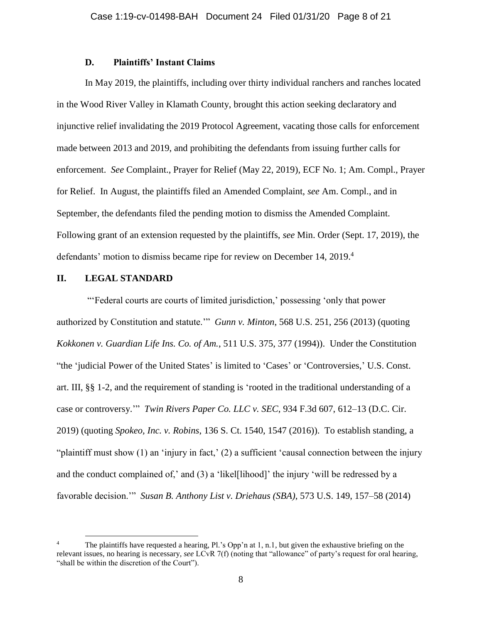# **D. Plaintiffs' Instant Claims**

In May 2019, the plaintiffs, including over thirty individual ranchers and ranches located in the Wood River Valley in Klamath County, brought this action seeking declaratory and injunctive relief invalidating the 2019 Protocol Agreement, vacating those calls for enforcement made between 2013 and 2019, and prohibiting the defendants from issuing further calls for enforcement. *See* Complaint., Prayer for Relief (May 22, 2019), ECF No. 1; Am. Compl., Prayer for Relief. In August, the plaintiffs filed an Amended Complaint, *see* Am. Compl., and in September, the defendants filed the pending motion to dismiss the Amended Complaint. Following grant of an extension requested by the plaintiffs, *see* Min. Order (Sept. 17, 2019), the defendants' motion to dismiss became ripe for review on December 14, 2019. 4

# **II. LEGAL STANDARD**

 $\overline{a}$ 

"'Federal courts are courts of limited jurisdiction,' possessing 'only that power authorized by Constitution and statute.'" *Gunn v. Minton*, 568 U.S. 251, 256 (2013) (quoting *Kokkonen v. Guardian Life Ins. Co. of Am.*, 511 U.S. 375, 377 (1994)). Under the Constitution "the 'judicial Power of the United States' is limited to 'Cases' or 'Controversies,' U.S. Const. art. III, §§ 1-2, and the requirement of standing is 'rooted in the traditional understanding of a case or controversy.'" *Twin Rivers Paper Co. LLC v. SEC*, 934 F.3d 607, 612–13 (D.C. Cir. 2019) (quoting *Spokeo, Inc. v. Robins*, 136 S. Ct. 1540, 1547 (2016)). To establish standing, a "plaintiff must show (1) an 'injury in fact,' (2) a sufficient 'causal connection between the injury and the conduct complained of,' and (3) a 'likel[lihood]' the injury 'will be redressed by a favorable decision.'" *Susan B. Anthony List v. Driehaus (SBA)*, 573 U.S. 149, 157–58 (2014)

The plaintiffs have requested a hearing, Pl.'s Opp'n at 1, n.1, but given the exhaustive briefing on the relevant issues, no hearing is necessary, *see* LCvR 7(f) (noting that "allowance" of party's request for oral hearing, "shall be within the discretion of the Court").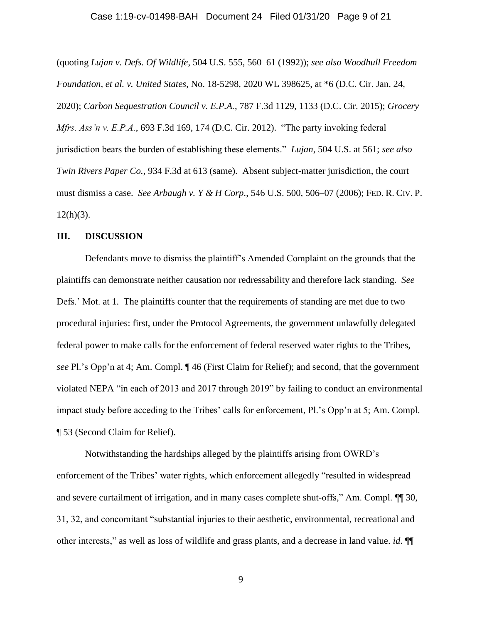# Case 1:19-cv-01498-BAH Document 24 Filed 01/31/20 Page 9 of 21

(quoting *Lujan v. Defs. Of Wildlife*, 504 U.S. 555, 560–61 (1992)); *see also Woodhull Freedom Foundation, et al. v. United States*, No. 18-5298, 2020 WL 398625, at \*6 (D.C. Cir. Jan. 24, 2020); *Carbon Sequestration Council v. E.P.A.*, 787 F.3d 1129, 1133 (D.C. Cir. 2015); *Grocery Mfrs. Ass'n v. E.P.A.*, 693 F.3d 169, 174 (D.C. Cir. 2012). "The party invoking federal jurisdiction bears the burden of establishing these elements." *Lujan*, 504 U.S. at 561; *see also Twin Rivers Paper Co.*, 934 F.3d at 613 (same). Absent subject-matter jurisdiction, the court must dismiss a case. *See Arbaugh v. Y & H Corp*., 546 U.S. 500, 506–07 (2006); FED. R. CIV. P.  $12(h)(3)$ .

### **III. DISCUSSION**

Defendants move to dismiss the plaintiff's Amended Complaint on the grounds that the plaintiffs can demonstrate neither causation nor redressability and therefore lack standing. *See*  Defs.' Mot. at 1. The plaintiffs counter that the requirements of standing are met due to two procedural injuries: first, under the Protocol Agreements, the government unlawfully delegated federal power to make calls for the enforcement of federal reserved water rights to the Tribes, *see* Pl.'s Opp'n at 4; Am. Compl. ¶ 46 (First Claim for Relief); and second, that the government violated NEPA "in each of 2013 and 2017 through 2019" by failing to conduct an environmental impact study before acceding to the Tribes' calls for enforcement, Pl.'s Opp'n at 5; Am. Compl. ¶ 53 (Second Claim for Relief).

Notwithstanding the hardships alleged by the plaintiffs arising from OWRD's enforcement of the Tribes' water rights, which enforcement allegedly "resulted in widespread and severe curtailment of irrigation, and in many cases complete shut-offs," Am. Compl.  $\P$  30, 31, 32, and concomitant "substantial injuries to their aesthetic, environmental, recreational and other interests," as well as loss of wildlife and grass plants, and a decrease in land value. *id*. ¶¶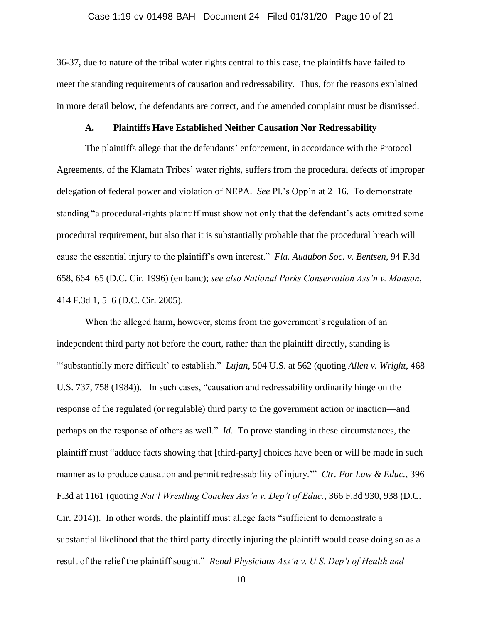## Case 1:19-cv-01498-BAH Document 24 Filed 01/31/20 Page 10 of 21

36-37, due to nature of the tribal water rights central to this case, the plaintiffs have failed to meet the standing requirements of causation and redressability. Thus, for the reasons explained in more detail below, the defendants are correct, and the amended complaint must be dismissed.

### **A. Plaintiffs Have Established Neither Causation Nor Redressability**

The plaintiffs allege that the defendants' enforcement, in accordance with the Protocol Agreements, of the Klamath Tribes' water rights, suffers from the procedural defects of improper delegation of federal power and violation of NEPA. *See* Pl.'s Opp'n at 2–16. To demonstrate standing "a procedural-rights plaintiff must show not only that the defendant's acts omitted some procedural requirement, but also that it is substantially probable that the procedural breach will cause the essential injury to the plaintiff's own interest." *Fla. Audubon Soc. v. Bentsen*, 94 F.3d 658, 664–65 (D.C. Cir. 1996) (en banc); *see also National Parks Conservation Ass'n v. Manson*, 414 F.3d 1, 5–6 (D.C. Cir. 2005).

When the alleged harm, however, stems from the government's regulation of an independent third party not before the court, rather than the plaintiff directly, standing is "'substantially more difficult' to establish." *Lujan*, 504 U.S. at 562 (quoting *Allen v. Wright*, 468 U.S. 737, 758 (1984)). In such cases, "causation and redressability ordinarily hinge on the response of the regulated (or regulable) third party to the government action or inaction—and perhaps on the response of others as well." *Id*. To prove standing in these circumstances, the plaintiff must "adduce facts showing that [third-party] choices have been or will be made in such manner as to produce causation and permit redressability of injury.'" *Ctr. For Law & Educ.*, 396 F.3d at 1161 (quoting *Nat'l Wrestling Coaches Ass'n v. Dep't of Educ.*, 366 F.3d 930, 938 (D.C. Cir. 2014)). In other words, the plaintiff must allege facts "sufficient to demonstrate a substantial likelihood that the third party directly injuring the plaintiff would cease doing so as a result of the relief the plaintiff sought." *Renal Physicians Ass'n v. U.S. Dep't of Health and*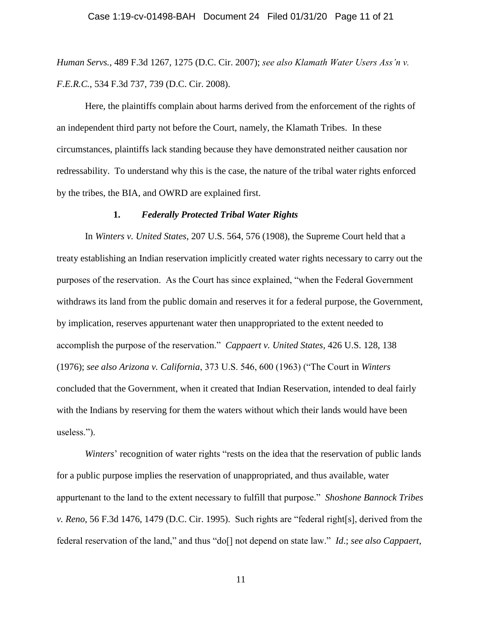*Human Servs.*, 489 F.3d 1267, 1275 (D.C. Cir. 2007); *see also Klamath Water Users Ass'n v. F.E.R.C.*, 534 F.3d 737, 739 (D.C. Cir. 2008).

Here, the plaintiffs complain about harms derived from the enforcement of the rights of an independent third party not before the Court, namely, the Klamath Tribes. In these circumstances, plaintiffs lack standing because they have demonstrated neither causation nor redressability. To understand why this is the case, the nature of the tribal water rights enforced by the tribes, the BIA, and OWRD are explained first.

#### **1.** *Federally Protected Tribal Water Rights*

In *Winters v. United States*, 207 U.S. 564, 576 (1908), the Supreme Court held that a treaty establishing an Indian reservation implicitly created water rights necessary to carry out the purposes of the reservation. As the Court has since explained, "when the Federal Government withdraws its land from the public domain and reserves it for a federal purpose, the Government, by implication, reserves appurtenant water then unappropriated to the extent needed to accomplish the purpose of the reservation." *Cappaert v. United States*, 426 U.S. 128, 138 (1976); *see also Arizona v. California*, 373 U.S. 546, 600 (1963) ("The Court in *Winters* concluded that the Government, when it created that Indian Reservation, intended to deal fairly with the Indians by reserving for them the waters without which their lands would have been useless.").

*Winters*' recognition of water rights "rests on the idea that the reservation of public lands for a public purpose implies the reservation of unappropriated, and thus available, water appurtenant to the land to the extent necessary to fulfill that purpose." *Shoshone Bannock Tribes v. Reno*, 56 F.3d 1476, 1479 (D.C. Cir. 1995). Such rights are "federal right[s], derived from the federal reservation of the land," and thus "do[] not depend on state law." *Id*.; *see also Cappaert*,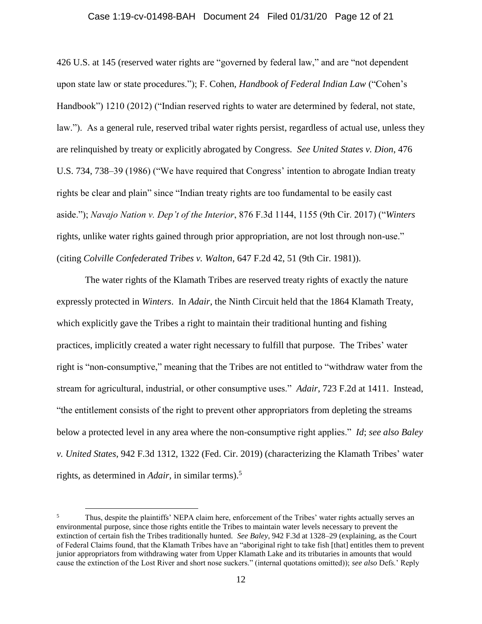#### Case 1:19-cv-01498-BAH Document 24 Filed 01/31/20 Page 12 of 21

426 U.S. at 145 (reserved water rights are "governed by federal law," and are "not dependent upon state law or state procedures."); F. Cohen, *Handbook of Federal Indian Law* ("Cohen's Handbook") 1210 (2012) ("Indian reserved rights to water are determined by federal, not state, law."). As a general rule, reserved tribal water rights persist, regardless of actual use, unless they are relinquished by treaty or explicitly abrogated by Congress. *See United States v. Dion*, 476 U.S. 734, 738–39 (1986) ("We have required that Congress' intention to abrogate Indian treaty rights be clear and plain" since "Indian treaty rights are too fundamental to be easily cast aside."); *Navajo Nation v. Dep't of the Interior*, 876 F.3d 1144, 1155 (9th Cir. 2017) ("*Winters* rights, unlike water rights gained through prior appropriation, are not lost through non-use." (citing *Colville Confederated Tribes v. Walton*, 647 F.2d 42, 51 (9th Cir. 1981)).

The water rights of the Klamath Tribes are reserved treaty rights of exactly the nature expressly protected in *Winters*. In *Adair*, the Ninth Circuit held that the 1864 Klamath Treaty, which explicitly gave the Tribes a right to maintain their traditional hunting and fishing practices, implicitly created a water right necessary to fulfill that purpose. The Tribes' water right is "non-consumptive," meaning that the Tribes are not entitled to "withdraw water from the stream for agricultural, industrial, or other consumptive uses." *Adair*, 723 F.2d at 1411. Instead, "the entitlement consists of the right to prevent other appropriators from depleting the streams below a protected level in any area where the non-consumptive right applies." *Id*; *see also Baley v. United States*, 942 F.3d 1312, 1322 (Fed. Cir. 2019) (characterizing the Klamath Tribes' water rights, as determined in *Adair*, in similar terms).<sup>5</sup>

 $\overline{a}$ 

<sup>&</sup>lt;sup>5</sup> Thus, despite the plaintiffs' NEPA claim here, enforcement of the Tribes' water rights actually serves an environmental purpose, since those rights entitle the Tribes to maintain water levels necessary to prevent the extinction of certain fish the Tribes traditionally hunted. *See Baley*, 942 F.3d at 1328–29 (explaining, as the Court of Federal Claims found, that the Klamath Tribes have an "aboriginal right to take fish [that] entitles them to prevent junior appropriators from withdrawing water from Upper Klamath Lake and its tributaries in amounts that would cause the extinction of the Lost River and short nose suckers." (internal quotations omitted)); *see also* Defs.' Reply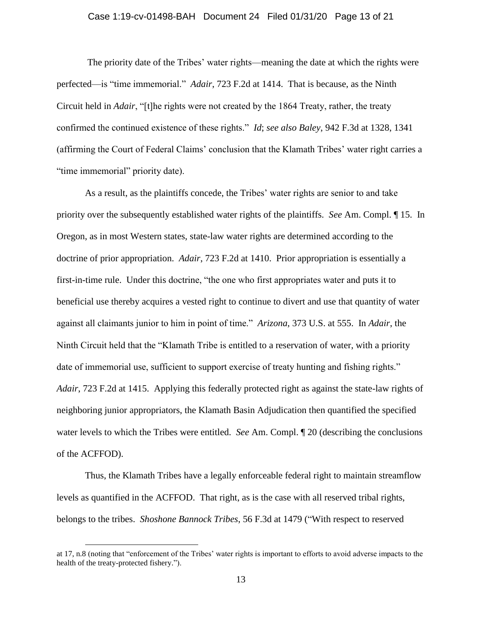### Case 1:19-cv-01498-BAH Document 24 Filed 01/31/20 Page 13 of 21

The priority date of the Tribes' water rights—meaning the date at which the rights were perfected—is "time immemorial." *Adair*, 723 F.2d at 1414. That is because, as the Ninth Circuit held in *Adair*, "[t]he rights were not created by the 1864 Treaty, rather, the treaty confirmed the continued existence of these rights." *Id*; *see also Baley*, 942 F.3d at 1328, 1341 (affirming the Court of Federal Claims' conclusion that the Klamath Tribes' water right carries a "time immemorial" priority date).

As a result, as the plaintiffs concede, the Tribes' water rights are senior to and take priority over the subsequently established water rights of the plaintiffs. *See* Am. Compl. ¶ 15. In Oregon, as in most Western states, state-law water rights are determined according to the doctrine of prior appropriation. *Adair*, 723 F.2d at 1410. Prior appropriation is essentially a first-in-time rule. Under this doctrine, "the one who first appropriates water and puts it to beneficial use thereby acquires a vested right to continue to divert and use that quantity of water against all claimants junior to him in point of time." *Arizona*, 373 U.S. at 555. In *Adair*, the Ninth Circuit held that the "Klamath Tribe is entitled to a reservation of water, with a priority date of immemorial use, sufficient to support exercise of treaty hunting and fishing rights." *Adair*, 723 F.2d at 1415. Applying this federally protected right as against the state-law rights of neighboring junior appropriators, the Klamath Basin Adjudication then quantified the specified water levels to which the Tribes were entitled. *See* Am. Compl. ¶ 20 (describing the conclusions of the ACFFOD).

Thus, the Klamath Tribes have a legally enforceable federal right to maintain streamflow levels as quantified in the ACFFOD. That right, as is the case with all reserved tribal rights, belongs to the tribes. *Shoshone Bannock Tribes*, 56 F.3d at 1479 ("With respect to reserved

 $\overline{a}$ 

at 17, n.8 (noting that "enforcement of the Tribes' water rights is important to efforts to avoid adverse impacts to the health of the treaty-protected fishery.").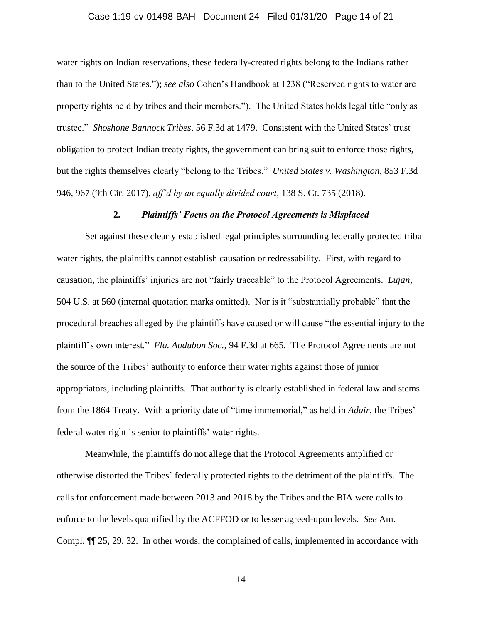# Case 1:19-cv-01498-BAH Document 24 Filed 01/31/20 Page 14 of 21

water rights on Indian reservations, these federally-created rights belong to the Indians rather than to the United States."); *see also* Cohen's Handbook at 1238 ("Reserved rights to water are property rights held by tribes and their members."). The United States holds legal title "only as trustee." *Shoshone Bannock Tribes*, 56 F.3d at 1479. Consistent with the United States' trust obligation to protect Indian treaty rights, the government can bring suit to enforce those rights, but the rights themselves clearly "belong to the Tribes." *United States v. Washington*, 853 F.3d 946, 967 (9th Cir. 2017), *aff'd by an equally divided court*, 138 S. Ct. 735 (2018).

### **2.** *Plaintiffs' Focus on the Protocol Agreements is Misplaced*

Set against these clearly established legal principles surrounding federally protected tribal water rights, the plaintiffs cannot establish causation or redressability. First, with regard to causation, the plaintiffs' injuries are not "fairly traceable" to the Protocol Agreements. *Lujan*, 504 U.S. at 560 (internal quotation marks omitted). Nor is it "substantially probable" that the procedural breaches alleged by the plaintiffs have caused or will cause "the essential injury to the plaintiff's own interest." *Fla. Audubon Soc.*, 94 F.3d at 665. The Protocol Agreements are not the source of the Tribes' authority to enforce their water rights against those of junior appropriators, including plaintiffs. That authority is clearly established in federal law and stems from the 1864 Treaty. With a priority date of "time immemorial," as held in *Adair*, the Tribes' federal water right is senior to plaintiffs' water rights.

Meanwhile, the plaintiffs do not allege that the Protocol Agreements amplified or otherwise distorted the Tribes' federally protected rights to the detriment of the plaintiffs. The calls for enforcement made between 2013 and 2018 by the Tribes and the BIA were calls to enforce to the levels quantified by the ACFFOD or to lesser agreed-upon levels. *See* Am. Compl. ¶¶ 25, 29, 32. In other words, the complained of calls, implemented in accordance with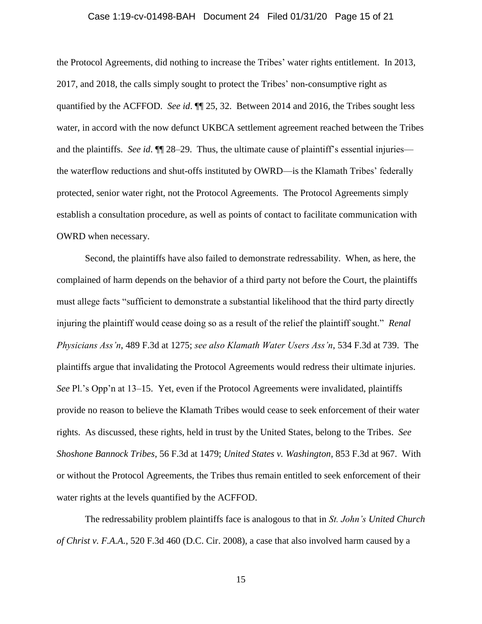#### Case 1:19-cv-01498-BAH Document 24 Filed 01/31/20 Page 15 of 21

the Protocol Agreements, did nothing to increase the Tribes' water rights entitlement. In 2013, 2017, and 2018, the calls simply sought to protect the Tribes' non-consumptive right as quantified by the ACFFOD. *See id*. ¶¶ 25, 32. Between 2014 and 2016, the Tribes sought less water, in accord with the now defunct UKBCA settlement agreement reached between the Tribes and the plaintiffs. *See id*.  $\P$  28–29. Thus, the ultimate cause of plaintiff's essential injuries the waterflow reductions and shut-offs instituted by OWRD—is the Klamath Tribes' federally protected, senior water right, not the Protocol Agreements. The Protocol Agreements simply establish a consultation procedure, as well as points of contact to facilitate communication with OWRD when necessary.

Second, the plaintiffs have also failed to demonstrate redressability. When, as here, the complained of harm depends on the behavior of a third party not before the Court, the plaintiffs must allege facts "sufficient to demonstrate a substantial likelihood that the third party directly injuring the plaintiff would cease doing so as a result of the relief the plaintiff sought." *Renal Physicians Ass'n*, 489 F.3d at 1275; *see also Klamath Water Users Ass'n*, 534 F.3d at 739. The plaintiffs argue that invalidating the Protocol Agreements would redress their ultimate injuries. *See* Pl.'s Opp'n at 13–15. Yet, even if the Protocol Agreements were invalidated, plaintiffs provide no reason to believe the Klamath Tribes would cease to seek enforcement of their water rights. As discussed, these rights, held in trust by the United States, belong to the Tribes. *See Shoshone Bannock Tribes*, 56 F.3d at 1479; *United States v. Washington*, 853 F.3d at 967. With or without the Protocol Agreements, the Tribes thus remain entitled to seek enforcement of their water rights at the levels quantified by the ACFFOD.

The redressability problem plaintiffs face is analogous to that in *St. John's United Church of Christ v. F.A.A.*, 520 F.3d 460 (D.C. Cir. 2008), a case that also involved harm caused by a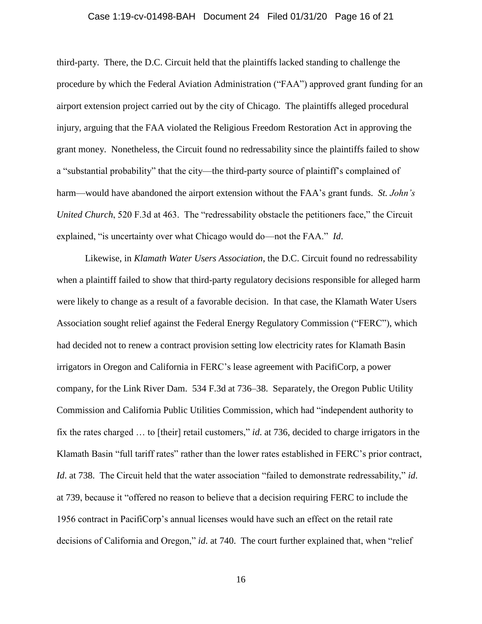# Case 1:19-cv-01498-BAH Document 24 Filed 01/31/20 Page 16 of 21

third-party. There, the D.C. Circuit held that the plaintiffs lacked standing to challenge the procedure by which the Federal Aviation Administration ("FAA") approved grant funding for an airport extension project carried out by the city of Chicago. The plaintiffs alleged procedural injury, arguing that the FAA violated the Religious Freedom Restoration Act in approving the grant money. Nonetheless, the Circuit found no redressability since the plaintiffs failed to show a "substantial probability" that the city—the third-party source of plaintiff's complained of harm—would have abandoned the airport extension without the FAA's grant funds. *St. John's United Church*, 520 F.3d at 463. The "redressability obstacle the petitioners face," the Circuit explained, "is uncertainty over what Chicago would do—not the FAA." *Id*.

Likewise, in *Klamath Water Users Association*, the D.C. Circuit found no redressability when a plaintiff failed to show that third-party regulatory decisions responsible for alleged harm were likely to change as a result of a favorable decision. In that case, the Klamath Water Users Association sought relief against the Federal Energy Regulatory Commission ("FERC"), which had decided not to renew a contract provision setting low electricity rates for Klamath Basin irrigators in Oregon and California in FERC's lease agreement with PacifiCorp, a power company, for the Link River Dam. 534 F.3d at 736–38. Separately, the Oregon Public Utility Commission and California Public Utilities Commission, which had "independent authority to fix the rates charged … to [their] retail customers," *id*. at 736, decided to charge irrigators in the Klamath Basin "full tariff rates" rather than the lower rates established in FERC's prior contract, *Id*. at 738. The Circuit held that the water association "failed to demonstrate redressability," *id*. at 739, because it "offered no reason to believe that a decision requiring FERC to include the 1956 contract in PacifiCorp's annual licenses would have such an effect on the retail rate decisions of California and Oregon," *id*. at 740. The court further explained that, when "relief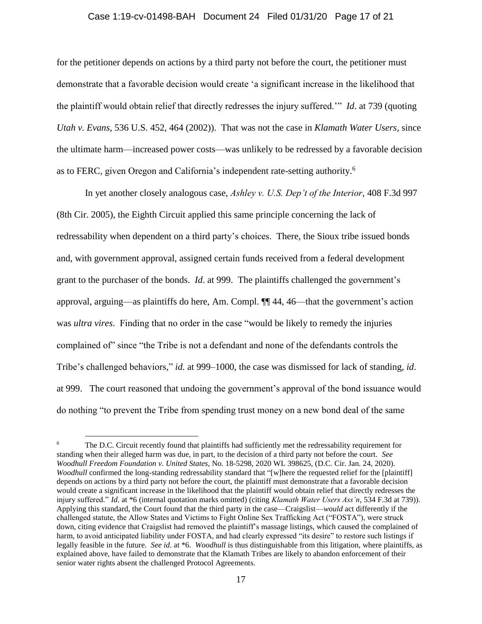#### Case 1:19-cv-01498-BAH Document 24 Filed 01/31/20 Page 17 of 21

for the petitioner depends on actions by a third party not before the court, the petitioner must demonstrate that a favorable decision would create 'a significant increase in the likelihood that the plaintiff would obtain relief that directly redresses the injury suffered.'" *Id*. at 739 (quoting *Utah v. Evans*, 536 U.S. 452, 464 (2002)). That was not the case in *Klamath Water Users*, since the ultimate harm—increased power costs—was unlikely to be redressed by a favorable decision as to FERC, given Oregon and California's independent rate-setting authority.<sup>6</sup>

In yet another closely analogous case, *Ashley v. U.S. Dep't of the Interior*, 408 F.3d 997 (8th Cir. 2005), the Eighth Circuit applied this same principle concerning the lack of redressability when dependent on a third party's choices. There, the Sioux tribe issued bonds and, with government approval, assigned certain funds received from a federal development grant to the purchaser of the bonds. *Id*. at 999.The plaintiffs challenged the government's approval, arguing—as plaintiffs do here, Am. Compl. ¶¶ 44, 46—that the government's action was *ultra vires*. Finding that no order in the case "would be likely to remedy the injuries complained of" since "the Tribe is not a defendant and none of the defendants controls the Tribe's challenged behaviors," *id.* at 999–1000, the case was dismissed for lack of standing, *id*. at 999. The court reasoned that undoing the government's approval of the bond issuance would do nothing "to prevent the Tribe from spending trust money on a new bond deal of the same

 $\overline{a}$ 

The D.C. Circuit recently found that plaintiffs had sufficiently met the redressability requirement for standing when their alleged harm was due, in part, to the decision of a third party not before the court. *See Woodhull Freedom Foundation v. United States*, No. 18-5298, 2020 WL 398625, (D.C. Cir. Jan. 24, 2020). *Woodhull* confirmed the long-standing redressability standard that "[w]here the requested relief for the [plaintiff] depends on actions by a third party not before the court, the plaintiff must demonstrate that a favorable decision would create a significant increase in the likelihood that the plaintiff would obtain relief that directly redresses the injury suffered." *Id.* at \*6 (internal quotation marks omitted) (citing *Klamath Water Users Ass'n*, 534 F.3d at 739)). Applying this standard, the Court found that the third party in the case—Craigslist—*would* act differently if the challenged statute, the Allow States and Victims to Fight Online Sex Trafficking Act ("FOSTA"), were struck down, citing evidence that Craigslist had removed the plaintiff's massage listings, which caused the complained of harm, to avoid anticipated liability under FOSTA, and had clearly expressed "its desire" to restore such listings if legally feasible in the future. *See id*. at \*6. *Woodhull* is thus distinguishable from this litigation, where plaintiffs, as explained above, have failed to demonstrate that the Klamath Tribes are likely to abandon enforcement of their senior water rights absent the challenged Protocol Agreements.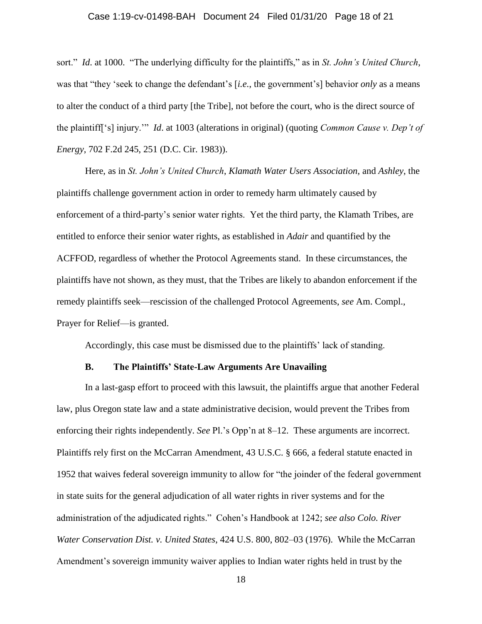## Case 1:19-cv-01498-BAH Document 24 Filed 01/31/20 Page 18 of 21

sort." *Id*. at 1000. "The underlying difficulty for the plaintiffs," as in *St. John's United Church*, was that "they 'seek to change the defendant's [*i.e.*, the government's] behavior *only* as a means to alter the conduct of a third party [the Tribe], not before the court, who is the direct source of the plaintiff['s] injury.'" *Id*. at 1003 (alterations in original) (quoting *Common Cause v. Dep't of Energy*, 702 F.2d 245, 251 (D.C. Cir. 1983)).

Here, as in *St. John's United Church*, *Klamath Water Users Association*, and *Ashley*, the plaintiffs challenge government action in order to remedy harm ultimately caused by enforcement of a third-party's senior water rights. Yet the third party, the Klamath Tribes, are entitled to enforce their senior water rights, as established in *Adair* and quantified by the ACFFOD, regardless of whether the Protocol Agreements stand. In these circumstances, the plaintiffs have not shown, as they must, that the Tribes are likely to abandon enforcement if the remedy plaintiffs seek—rescission of the challenged Protocol Agreements, *see* Am. Compl., Prayer for Relief—is granted.

Accordingly, this case must be dismissed due to the plaintiffs' lack of standing.

## **B. The Plaintiffs' State-Law Arguments Are Unavailing**

In a last-gasp effort to proceed with this lawsuit, the plaintiffs argue that another Federal law, plus Oregon state law and a state administrative decision, would prevent the Tribes from enforcing their rights independently. *See* Pl.'s Opp'n at 8–12. These arguments are incorrect. Plaintiffs rely first on the McCarran Amendment, 43 U.S.C. § 666, a federal statute enacted in 1952 that waives federal sovereign immunity to allow for "the joinder of the federal government in state suits for the general adjudication of all water rights in river systems and for the administration of the adjudicated rights." Cohen's Handbook at 1242; *see also Colo. River Water Conservation Dist. v. United States*, 424 U.S. 800, 802–03 (1976). While the McCarran Amendment's sovereign immunity waiver applies to Indian water rights held in trust by the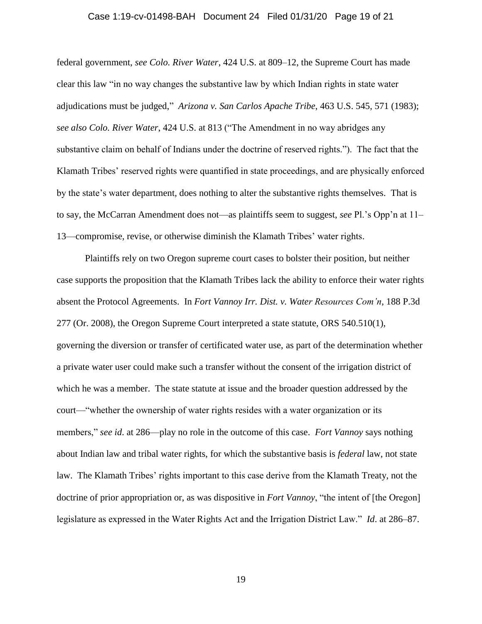#### Case 1:19-cv-01498-BAH Document 24 Filed 01/31/20 Page 19 of 21

federal government, *see Colo. River Water*, 424 U.S. at 809–12, the Supreme Court has made clear this law "in no way changes the substantive law by which Indian rights in state water adjudications must be judged," *Arizona v. San Carlos Apache Tribe*, 463 U.S. 545, 571 (1983); *see also Colo. River Water*, 424 U.S. at 813 ("The Amendment in no way abridges any substantive claim on behalf of Indians under the doctrine of reserved rights."). The fact that the Klamath Tribes' reserved rights were quantified in state proceedings, and are physically enforced by the state's water department, does nothing to alter the substantive rights themselves. That is to say, the McCarran Amendment does not—as plaintiffs seem to suggest, *see* Pl.'s Opp'n at 11– 13—compromise, revise, or otherwise diminish the Klamath Tribes' water rights.

Plaintiffs rely on two Oregon supreme court cases to bolster their position, but neither case supports the proposition that the Klamath Tribes lack the ability to enforce their water rights absent the Protocol Agreements. In *Fort Vannoy Irr. Dist. v. Water Resources Com'n*, 188 P.3d 277 (Or. 2008), the Oregon Supreme Court interpreted a state statute, ORS 540.510(1), governing the diversion or transfer of certificated water use, as part of the determination whether a private water user could make such a transfer without the consent of the irrigation district of which he was a member. The state statute at issue and the broader question addressed by the court—"whether the ownership of water rights resides with a water organization or its members," *see id*. at 286—play no role in the outcome of this case. *Fort Vannoy* says nothing about Indian law and tribal water rights, for which the substantive basis is *federal* law, not state law. The Klamath Tribes' rights important to this case derive from the Klamath Treaty, not the doctrine of prior appropriation or, as was dispositive in *Fort Vannoy*, "the intent of [the Oregon] legislature as expressed in the Water Rights Act and the Irrigation District Law." *Id*. at 286–87.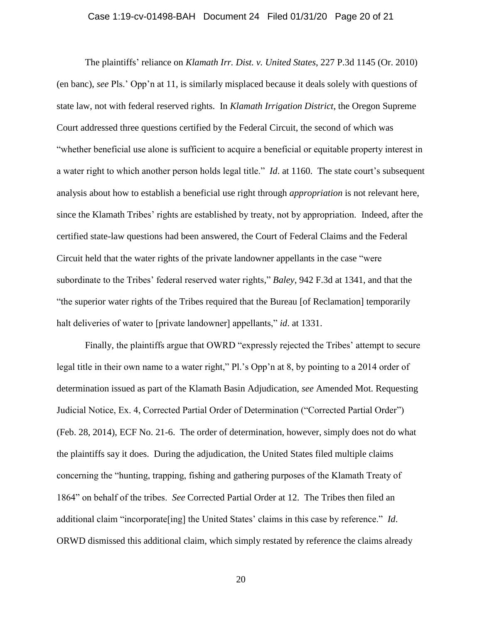## Case 1:19-cv-01498-BAH Document 24 Filed 01/31/20 Page 20 of 21

The plaintiffs' reliance on *Klamath Irr. Dist. v. United States*, 227 P.3d 1145 (Or. 2010) (en banc), *see* Pls.' Opp'n at 11, is similarly misplaced because it deals solely with questions of state law, not with federal reserved rights. In *Klamath Irrigation District*, the Oregon Supreme Court addressed three questions certified by the Federal Circuit, the second of which was "whether beneficial use alone is sufficient to acquire a beneficial or equitable property interest in a water right to which another person holds legal title." *Id*. at 1160. The state court's subsequent analysis about how to establish a beneficial use right through *appropriation* is not relevant here, since the Klamath Tribes' rights are established by treaty, not by appropriation. Indeed, after the certified state-law questions had been answered, the Court of Federal Claims and the Federal Circuit held that the water rights of the private landowner appellants in the case "were subordinate to the Tribes' federal reserved water rights," *Baley*, 942 F.3d at 1341, and that the "the superior water rights of the Tribes required that the Bureau [of Reclamation] temporarily halt deliveries of water to [private landowner] appellants," *id*. at 1331.

Finally, the plaintiffs argue that OWRD "expressly rejected the Tribes' attempt to secure legal title in their own name to a water right," Pl.'s Opp'n at 8, by pointing to a 2014 order of determination issued as part of the Klamath Basin Adjudication, *see* Amended Mot. Requesting Judicial Notice, Ex. 4, Corrected Partial Order of Determination ("Corrected Partial Order") (Feb. 28, 2014), ECF No. 21-6. The order of determination, however, simply does not do what the plaintiffs say it does. During the adjudication, the United States filed multiple claims concerning the "hunting, trapping, fishing and gathering purposes of the Klamath Treaty of 1864" on behalf of the tribes. *See* Corrected Partial Order at 12. The Tribes then filed an additional claim "incorporate[ing] the United States' claims in this case by reference." *Id*. ORWD dismissed this additional claim, which simply restated by reference the claims already